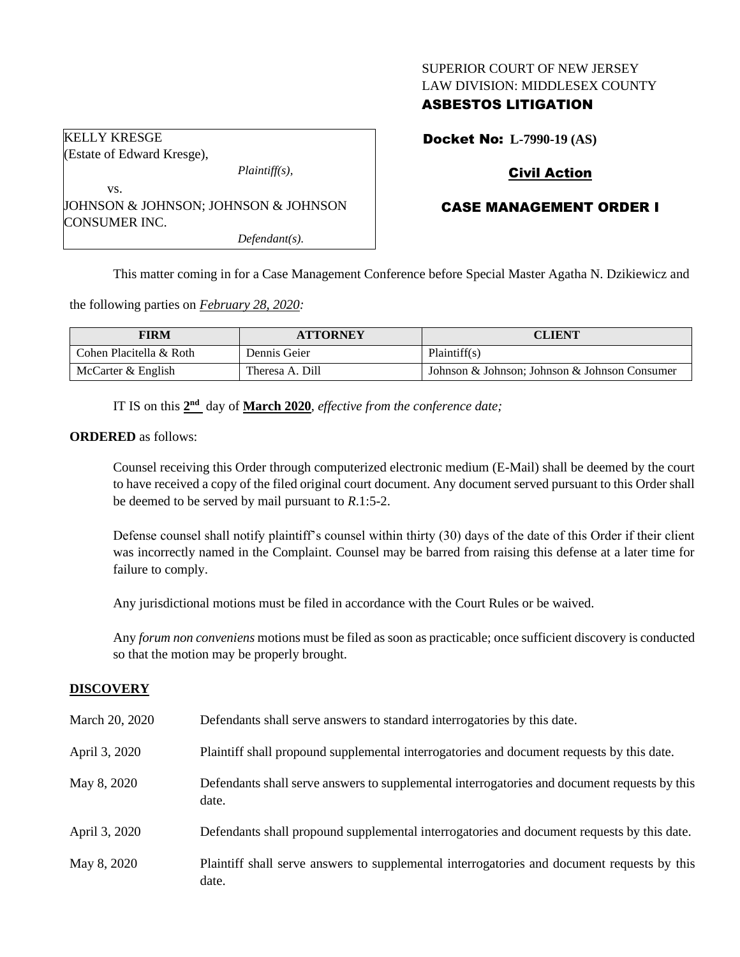# SUPERIOR COURT OF NEW JERSEY LAW DIVISION: MIDDLESEX COUNTY

# ASBESTOS LITIGATION

| KELLY KRESGE                         |  |
|--------------------------------------|--|
| (Estate of Edward Kresge),           |  |
| $Plaintiff(s)$ ,                     |  |
| VS.                                  |  |
| JOHNSON & JOHNSON; JOHNSON & JOHNSON |  |
| CONSUMER INC.                        |  |

*Defendant(s).*

Docket No: **L-7990-19 (AS)**

# Civil Action

# CASE MANAGEMENT ORDER I

This matter coming in for a Case Management Conference before Special Master Agatha N. Dzikiewicz and

the following parties on *February 28, 2020:*

| <b>FIRM</b>             | <b>ATTORNEY</b> | <b>CLIENT</b>                                 |
|-------------------------|-----------------|-----------------------------------------------|
| Cohen Placitella & Roth | Dennis Geier    | Plaintiff(s)                                  |
| McCarter & English      | Theresa A. Dill | Johnson & Johnson; Johnson & Johnson Consumer |

IT IS on this  $2<sup>nd</sup>$  day of **March** 2020, *effective from the conference date*;

#### **ORDERED** as follows:

Counsel receiving this Order through computerized electronic medium (E-Mail) shall be deemed by the court to have received a copy of the filed original court document. Any document served pursuant to this Order shall be deemed to be served by mail pursuant to *R*.1:5-2.

Defense counsel shall notify plaintiff's counsel within thirty (30) days of the date of this Order if their client was incorrectly named in the Complaint. Counsel may be barred from raising this defense at a later time for failure to comply.

Any jurisdictional motions must be filed in accordance with the Court Rules or be waived.

Any *forum non conveniens* motions must be filed as soon as practicable; once sufficient discovery is conducted so that the motion may be properly brought.

### **DISCOVERY**

| March 20, 2020 | Defendants shall serve answers to standard interrogatories by this date.                              |
|----------------|-------------------------------------------------------------------------------------------------------|
| April 3, 2020  | Plaintiff shall propound supplemental interrogatories and document requests by this date.             |
| May 8, 2020    | Defendants shall serve answers to supplemental interrogatories and document requests by this<br>date. |
| April 3, 2020  | Defendants shall propound supplemental interrogatories and document requests by this date.            |
| May 8, 2020    | Plaintiff shall serve answers to supplemental interrogatories and document requests by this<br>date.  |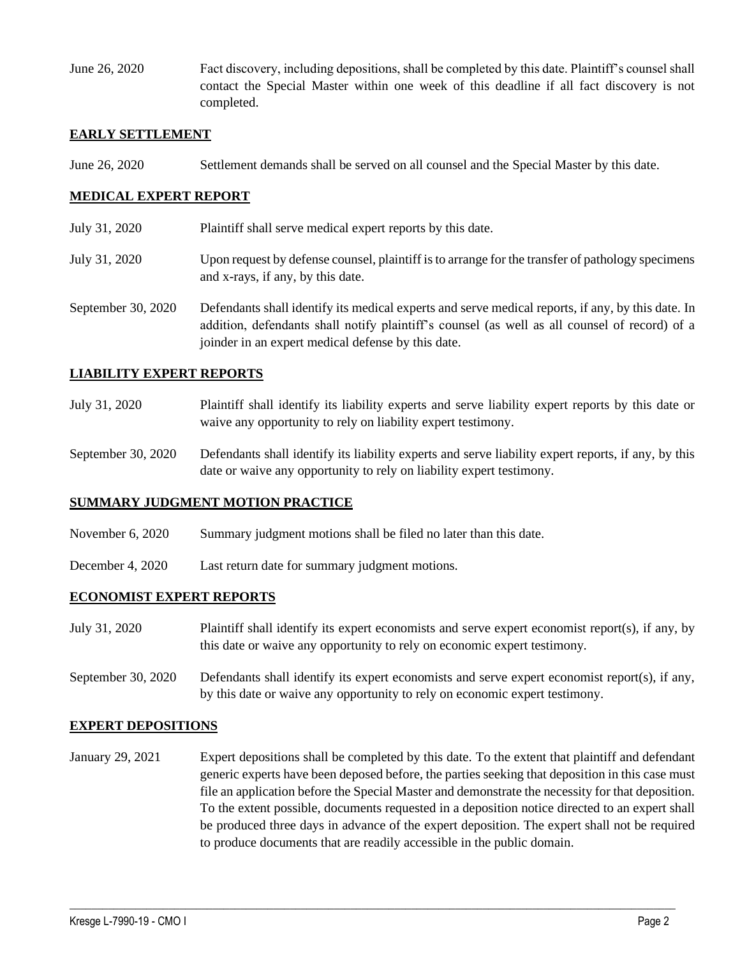June 26, 2020 Fact discovery, including depositions, shall be completed by this date. Plaintiff's counsel shall contact the Special Master within one week of this deadline if all fact discovery is not completed.

## **EARLY SETTLEMENT**

June 26, 2020 Settlement demands shall be served on all counsel and the Special Master by this date.

## **MEDICAL EXPERT REPORT**

- July 31, 2020 Plaintiff shall serve medical expert reports by this date.
- July 31, 2020 Upon request by defense counsel, plaintiff is to arrange for the transfer of pathology specimens and x-rays, if any, by this date.
- September 30, 2020 Defendants shall identify its medical experts and serve medical reports, if any, by this date. In addition, defendants shall notify plaintiff's counsel (as well as all counsel of record) of a joinder in an expert medical defense by this date.

### **LIABILITY EXPERT REPORTS**

- July 31, 2020 Plaintiff shall identify its liability experts and serve liability expert reports by this date or waive any opportunity to rely on liability expert testimony.
- September 30, 2020 Defendants shall identify its liability experts and serve liability expert reports, if any, by this date or waive any opportunity to rely on liability expert testimony.

### **SUMMARY JUDGMENT MOTION PRACTICE**

- November 6, 2020 Summary judgment motions shall be filed no later than this date.
- December 4, 2020 Last return date for summary judgment motions.

# **ECONOMIST EXPERT REPORTS**

- July 31, 2020 Plaintiff shall identify its expert economists and serve expert economist report(s), if any, by this date or waive any opportunity to rely on economic expert testimony.
- September 30, 2020 Defendants shall identify its expert economists and serve expert economist report(s), if any, by this date or waive any opportunity to rely on economic expert testimony.

### **EXPERT DEPOSITIONS**

January 29, 2021 Expert depositions shall be completed by this date. To the extent that plaintiff and defendant generic experts have been deposed before, the parties seeking that deposition in this case must file an application before the Special Master and demonstrate the necessity for that deposition. To the extent possible, documents requested in a deposition notice directed to an expert shall be produced three days in advance of the expert deposition. The expert shall not be required to produce documents that are readily accessible in the public domain.

 $\_$  , and the set of the set of the set of the set of the set of the set of the set of the set of the set of the set of the set of the set of the set of the set of the set of the set of the set of the set of the set of th